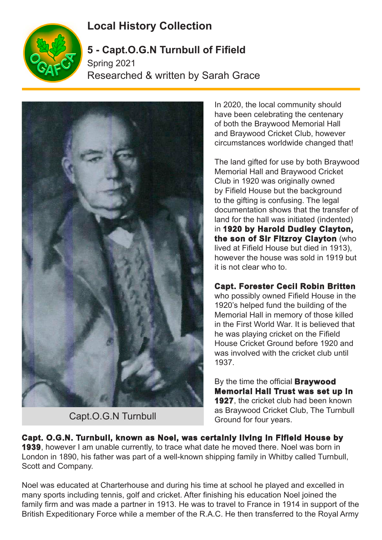## **Local History Collection**



## **5 - Capt.O.G.N Turnbull of Fifield**

Spring 2021 Researched & written by Sarah Grace



Capt.O.G.N Turnbull

In 2020, the local community should have been celebrating the centenary of both the Braywood Memorial Hall and Braywood Cricket Club, however circumstances worldwide changed that!

The land gifted for use by both Braywood Memorial Hall and Braywood Cricket Club in 1920 was originally owned by Fifield House but the background to the gifting is confusing. The legal documentation shows that the transfer of land for the hall was initiated (indented) in **1920 by Harold Dudley Clayton, the son of Sir Fitzroy Clayton** (who lived at Fifield House but died in 1913), however the house was sold in 1919 but it is not clear who to.

## **Capt. Forester Cecil Robin Britten**

who possibly owned Fifield House in the 1920's helped fund the building of the Memorial Hall in memory of those killed in the First World War. It is believed that he was playing cricket on the Fifield House Cricket Ground before 1920 and was involved with the cricket club until 1937.

By the time the official **Braywood Memorial Hall Trust was set up in 1927**, the cricket club had been known as Braywood Cricket Club, The Turnbull Ground for four years.

**Capt. O.G.N. Turnbull, known as Noel, was certainly living in Fifield House by 1939**, however I am unable currently, to trace what date he moved there. Noel was born in London in 1890, his father was part of a well-known shipping family in Whitby called Turnbull, Scott and Company.

Noel was educated at Charterhouse and during his time at school he played and excelled in many sports including tennis, golf and cricket. After finishing his education Noel joined the family firm and was made a partner in 1913. He was to travel to France in 1914 in support of the British Expeditionary Force while a member of the R.A.C. He then transferred to the Royal Army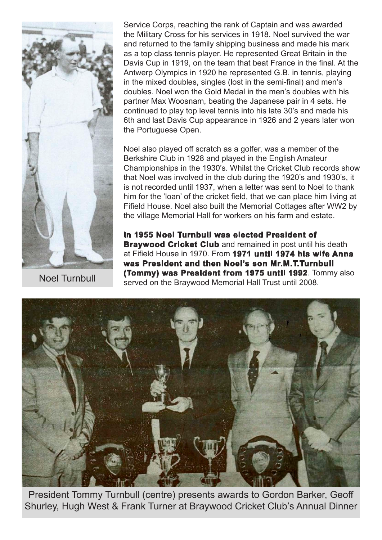

Service Corps, reaching the rank of Captain and was awarded the Military Cross for his services in 1918. Noel survived the war and returned to the family shipping business and made his mark as a top class tennis player. He represented Great Britain in the Davis Cup in 1919, on the team that beat France in the final. At the Antwerp Olympics in 1920 he represented G.B. in tennis, playing in the mixed doubles, singles (lost in the semi-final) and men's doubles. Noel won the Gold Medal in the men's doubles with his partner Max Woosnam, beating the Japanese pair in 4 sets. He continued to play top level tennis into his late 30's and made his 6th and last Davis Cup appearance in 1926 and 2 years later won the Portuguese Open.

Noel also played off scratch as a golfer, was a member of the Berkshire Club in 1928 and played in the English Amateur Championships in the 1930's. Whilst the Cricket Club records show that Noel was involved in the club during the 1920's and 1930's, it is not recorded until 1937, when a letter was sent to Noel to thank him for the 'loan' of the cricket field, that we can place him living at Fifield House. Noel also built the Memorial Cottages after WW2 by the village Memorial Hall for workers on his farm and estate.

**In 1955 Noel Turnbull was elected President of Braywood Cricket Club** and remained in post until his death at Fifield House in 1970. From **1971 until 1974 his wife Anna was President and then Noel's son Mr.M.T.Turnbull (Tommy) was President from 1975 until 1992**. Tommy also Noel Turnbull **Commy, was President from 1975 until 1992**. 10<br>served on the Braywood Memorial Hall Trust until 2008.



President Tommy Turnbull (centre) presents awards to Gordon Barker, Geoff Shurley, Hugh West & Frank Turner at Braywood Cricket Club's Annual Dinner